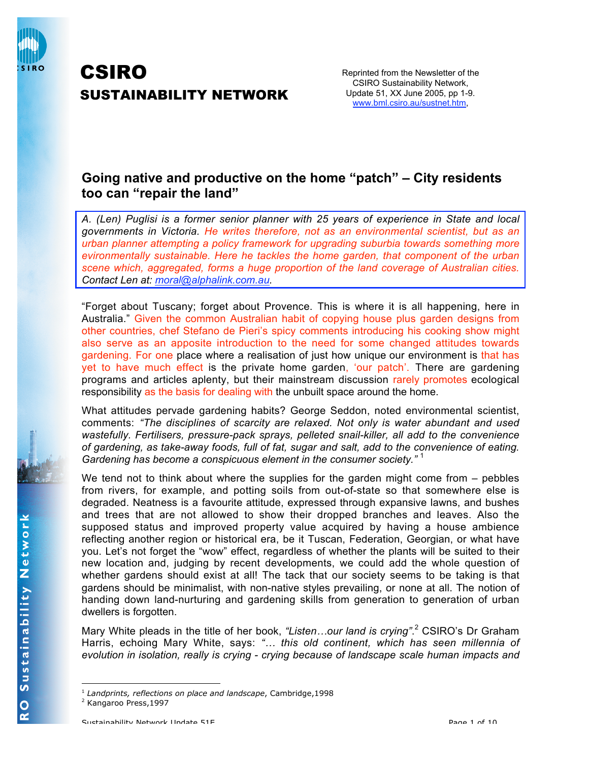

# CSIRO SUSTAINABILITY NETWORK

Reprinted from the Newsletter of the CSIRO Sustainability Network, Update 51, XX June 2005, pp 1-9. www.bml.csiro.au/sustnet.htm,

## **Going native and productive on the home "patch" – City residents too can "repair the land"**

*A. (Len) Puglisi is a former senior planner with 25 years of experience in State and local governments in Victoria. He writes therefore, not as an environmental scientist, but as an urban planner attempting a policy framework for upgrading suburbia towards something more evironmentally sustainable. Here he tackles the home garden, that component of the urban scene which, aggregated, forms a huge proportion of the land coverage of Australian cities. Contact Len at: moral@alphalink.com.au.*

"Forget about Tuscany; forget about Provence. This is where it is all happening, here in Australia." Given the common Australian habit of copying house plus garden designs from other countries, chef Stefano de Pieri's spicy comments introducing his cooking show might also serve as an apposite introduction to the need for some changed attitudes towards gardening. For one place where a realisation of just how unique our environment is that has yet to have much effect is the private home garden, 'our patch'. There are gardening programs and articles aplenty, but their mainstream discussion rarely promotes ecological responsibility as the basis for dealing with the unbuilt space around the home.

What attitudes pervade gardening habits? George Seddon, noted environmental scientist, comments: *"The disciplines of scarcity are relaxed. Not only is water abundant and used wastefully. Fertilisers, pressure-pack sprays, pelleted snail-killer, all add to the convenience of gardening, as take-away foods, full of fat, sugar and salt, add to the convenience of eating. Gardening has become a conspicuous element in the consumer society."* <sup>1</sup>

We tend not to think about where the supplies for the garden might come from – pebbles from rivers, for example, and potting soils from out-of-state so that somewhere else is degraded. Neatness is a favourite attitude, expressed through expansive lawns, and bushes and trees that are not allowed to show their dropped branches and leaves. Also the supposed status and improved property value acquired by having a house ambience reflecting another region or historical era, be it Tuscan, Federation, Georgian, or what have you. Let's not forget the "wow" effect, regardless of whether the plants will be suited to their new location and, judging by recent developments, we could add the whole question of whether gardens should exist at all! The tack that our society seems to be taking is that gardens should be minimalist, with non-native styles prevailing, or none at all. The notion of handing down land-nurturing and gardening skills from generation to generation of urban dwellers is forgotten.

Mary White pleads in the title of her book, *"Listen…our land is crying"*. <sup>2</sup> CSIRO's Dr Graham Harris, echoing Mary White, says: *"… this old continent, which has seen millennia of evolution in isolation, really is crying - crying because of landscape scale human impacts and*

<sup>1</sup> *Landprints, reflections on place and landscape*, Cambridge,1998

<sup>&</sup>lt;sup>2</sup> Kangaroo Press, 1997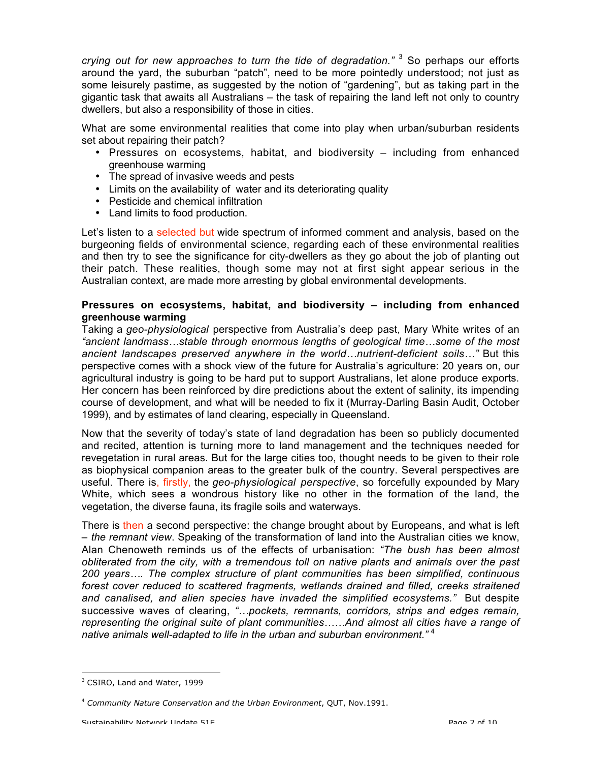*crying out for new approaches to turn the tide of degradation."* <sup>3</sup> So perhaps our efforts around the yard, the suburban "patch", need to be more pointedly understood; not just as some leisurely pastime, as suggested by the notion of "gardening", but as taking part in the gigantic task that awaits all Australians – the task of repairing the land left not only to country dwellers, but also a responsibility of those in cities.

What are some environmental realities that come into play when urban/suburban residents set about repairing their patch?

- Pressures on ecosystems, habitat, and biodiversity including from enhanced greenhouse warming
- The spread of invasive weeds and pests
- Limits on the availability of water and its deteriorating quality
- Pesticide and chemical infiltration
- Land limits to food production.

Let's listen to a selected but wide spectrum of informed comment and analysis, based on the burgeoning fields of environmental science, regarding each of these environmental realities and then try to see the significance for city-dwellers as they go about the job of planting out their patch. These realities, though some may not at first sight appear serious in the Australian context, are made more arresting by global environmental developments.

### **Pressures on ecosystems, habitat, and biodiversity – including from enhanced greenhouse warming**

Taking a *geo-physiological* perspective from Australia's deep past, Mary White writes of an *"ancient landmass…stable through enormous lengths of geological time…some of the most ancient landscapes preserved anywhere in the world…nutrient-deficient soils…"* But this perspective comes with a shock view of the future for Australia's agriculture: 20 years on, our agricultural industry is going to be hard put to support Australians, let alone produce exports. Her concern has been reinforced by dire predictions about the extent of salinity, its impending course of development, and what will be needed to fix it (Murray-Darling Basin Audit, October 1999), and by estimates of land clearing, especially in Queensland.

Now that the severity of today's state of land degradation has been so publicly documented and recited, attention is turning more to land management and the techniques needed for revegetation in rural areas. But for the large cities too, thought needs to be given to their role as biophysical companion areas to the greater bulk of the country. Several perspectives are useful. There is, firstly, the *geo-physiological perspective*, so forcefully expounded by Mary White, which sees a wondrous history like no other in the formation of the land, the vegetation, the diverse fauna, its fragile soils and waterways.

There is then a second perspective: the change brought about by Europeans, and what is left – *the remnant view*. Speaking of the transformation of land into the Australian cities we know, Alan Chenoweth reminds us of the effects of urbanisation: *"The bush has been almost obliterated from the city, with a tremendous toll on native plants and animals over the past 200 years…. The complex structure of plant communities has been simplified, continuous forest cover reduced to scattered fragments, wetlands drained and filled, creeks straitened and canalised, and alien species have invaded the simplified ecosystems."* But despite successive waves of clearing, *"…pockets, remnants, corridors, strips and edges remain, representing the original suite of plant communities……And almost all cities have a range of native animals well-adapted to life in the urban and suburban environment."* <sup>4</sup>

<sup>&</sup>lt;sup>3</sup> CSIRO, Land and Water, 1999

<sup>4</sup> *Community Nature Conservation and the Urban Environment*, QUT, Nov.1991.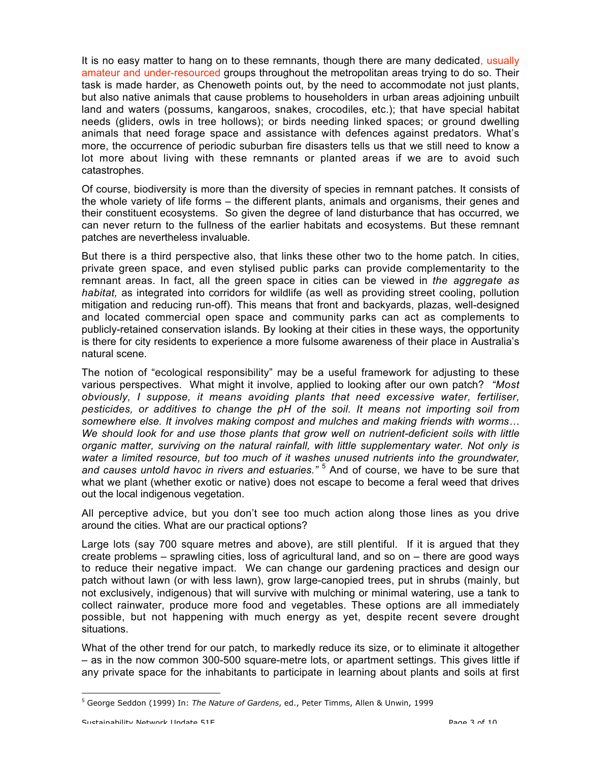It is no easy matter to hang on to these remnants, though there are many dedicated, usually amateur and under-resourced groups throughout the metropolitan areas trying to do so. Their task is made harder, as Chenoweth points out, by the need to accommodate not just plants, but also native animals that cause problems to householders in urban areas adjoining unbuilt land and waters (possums, kangaroos, snakes, crocodiles, etc.); that have special habitat needs (gliders, owls in tree hollows); or birds needing linked spaces; or ground dwelling animals that need forage space and assistance with defences against predators. What's more, the occurrence of periodic suburban fire disasters tells us that we still need to know a lot more about living with these remnants or planted areas if we are to avoid such catastrophes.

Of course, biodiversity is more than the diversity of species in remnant patches. It consists of the whole variety of life forms – the different plants, animals and organisms, their genes and their constituent ecosystems. So given the degree of land disturbance that has occurred, we can never return to the fullness of the earlier habitats and ecosystems. But these remnant patches are nevertheless invaluable.

But there is a third perspective also, that links these other two to the home patch. In cities, private green space, and even stylised public parks can provide complementarity to the remnant areas. In fact, all the green space in cities can be viewed in *the aggregate as habitat,* as integrated into corridors for wildlife (as well as providing street cooling, pollution mitigation and reducing run-off). This means that front and backyards, plazas, well-designed and located commercial open space and community parks can act as complements to publicly-retained conservation islands. By looking at their cities in these ways, the opportunity is there for city residents to experience a more fulsome awareness of their place in Australia's natural scene.

The notion of "ecological responsibility" may be a useful framework for adjusting to these various perspectives. What might it involve, applied to looking after our own patch? *"Most obviously, I suppose, it means avoiding plants that need excessive water, fertiliser, pesticides, or additives to change the pH of the soil. It means not importing soil from somewhere else. It involves making compost and mulches and making friends with worms… We should look for and use those plants that grow well on nutrient-deficient soils with little organic matter, surviving on the natural rainfall, with little supplementary water. Not only is water a limited resource, but too much of it washes unused nutrients into the groundwater, and causes untold havoc in rivers and estuaries."* <sup>5</sup> And of course, we have to be sure that what we plant (whether exotic or native) does not escape to become a feral weed that drives out the local indigenous vegetation.

All perceptive advice, but you don't see too much action along those lines as you drive around the cities. What are our practical options?

Large lots (say 700 square metres and above), are still plentiful. If it is argued that they create problems – sprawling cities, loss of agricultural land, and so on – there are good ways to reduce their negative impact. We can change our gardening practices and design our patch without lawn (or with less lawn), grow large-canopied trees, put in shrubs (mainly, but not exclusively, indigenous) that will survive with mulching or minimal watering, use a tank to collect rainwater, produce more food and vegetables. These options are all immediately possible, but not happening with much energy as yet, despite recent severe drought situations.

What of the other trend for our patch, to markedly reduce its size, or to eliminate it altogether – as in the now common 300-500 square-metre lots, or apartment settings. This gives little if any private space for the inhabitants to participate in learning about plants and soils at first

<sup>1</sup> 5 George Seddon (1999) In: *The Nature of Gardens*, ed., Peter Timms, Allen & Unwin, 1999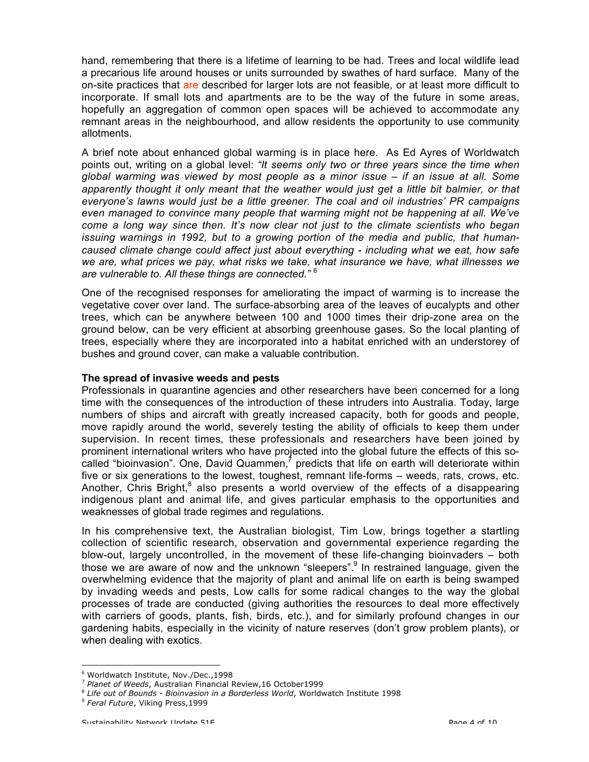hand, remembering that there is a lifetime of learning to be had. Trees and local wildlife lead a precarious life around houses or units surrounded by swathes of hard surface. Many of the on-site practices that are described for larger lots are not feasible, or at least more difficult to incorporate. If small lots and apartments are to be the way of the future in some areas, hopefully an aggregation of common open spaces will be achieved to accommodate any remnant areas in the neighbourhood, and allow residents the opportunity to use community allotments.

A brief note about enhanced global warming is in place here. As Ed Ayres of Worldwatch points out, writing on a global level: *"It seems only two or three years since the time when global warming was viewed by most people as a minor issue – if an issue at all. Some apparently thought it only meant that the weather would just get a little bit balmier, or that everyone's lawns would just be a little greener. The coal and oil industries' PR campaigns even managed to convince many people that warming might not be happening at all. We've come a long way since then. It's now clear not just to the climate scientists who began issuing warnings in 1992, but to a growing portion of the media and public, that humancaused climate change could affect just about everything - including what we eat, how safe we are, what prices we pay, what risks we take, what insurance we have, what illnesses we are vulnerable to. All these things are connected."* <sup>6</sup>

One of the recognised responses for ameliorating the impact of warming is to increase the vegetative cover over land. The surface-absorbing area of the leaves of eucalypts and other trees, which can be anywhere between 100 and 1000 times their drip-zone area on the ground below, can be very efficient at absorbing greenhouse gases. So the local planting of trees, especially where they are incorporated into a habitat enriched with an understorey of bushes and ground cover, can make a valuable contribution.

#### **The spread of invasive weeds and pests**

Professionals in quarantine agencies and other researchers have been concerned for a long time with the consequences of the introduction of these intruders into Australia. Today, large numbers of ships and aircraft with greatly increased capacity, both for goods and people, move rapidly around the world, severely testing the ability of officials to keep them under supervision. In recent times, these professionals and researchers have been joined by prominent international writers who have projected into the global future the effects of this socalled "bioinvasion". One, David Quammen, $^7$  predicts that life on earth will deteriorate within five or six generations to the lowest, toughest, remnant life-forms – weeds, rats, crows, etc. Another, Chris Bright, $^8$  also presents a world overview of the effects of a disappearing indigenous plant and animal life, and gives particular emphasis to the opportunities and weaknesses of global trade regimes and regulations.

In his comprehensive text, the Australian biologist, Tim Low, brings together a startling collection of scientific research, observation and governmental experience regarding the blow-out, largely uncontrolled, in the movement of these life-changing bioinvaders – both those we are aware of now and the unknown "sleepers".<sup>9</sup> In restrained language, given the overwhelming evidence that the majority of plant and animal life on earth is being swamped by invading weeds and pests, Low calls for some radical changes to the way the global processes of trade are conducted (giving authorities the resources to deal more effectively with carriers of goods, plants, fish, birds, etc.), and for similarly profound changes in our gardening habits, especially in the vicinity of nature reserves (don't grow problem plants), or when dealing with exotics.

<sup>1</sup> 6 Worldwatch Institute, Nov./Dec.,1998

<sup>7</sup> *Planet of Weeds*, Australian Financial Review,16 October1999

<sup>8</sup> *Life out of Bounds - Bioinvasion in a Borderless World*, Worldwatch Institute 1998

<sup>9</sup> *Feral Future*, Viking Press,1999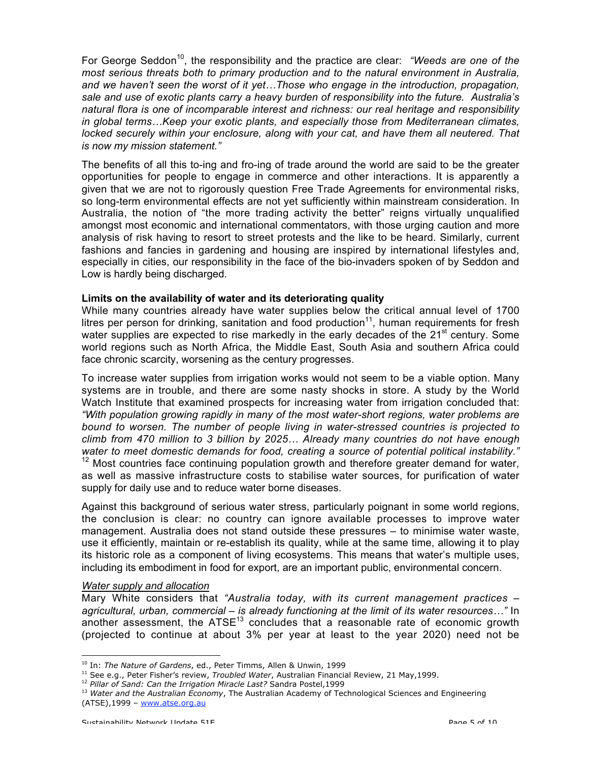For George Seddon<sup>10</sup>, the responsibility and the practice are clear: *"Weeds are one of the most serious threats both to primary production and to the natural environment in Australia, and we haven't seen the worst of it yet…Those who engage in the introduction, propagation, sale and use of exotic plants carry a heavy burden of responsibility into the future. Australia's natural flora is one of incomparable interest and richness: our real heritage and responsibility in global terms…Keep your exotic plants, and especially those from Mediterranean climates, locked securely within your enclosure, along with your cat, and have them all neutered. That is now my mission statement."*

The benefits of all this to-ing and fro-ing of trade around the world are said to be the greater opportunities for people to engage in commerce and other interactions. It is apparently a given that we are not to rigorously question Free Trade Agreements for environmental risks, so long-term environmental effects are not yet sufficiently within mainstream consideration. In Australia, the notion of "the more trading activity the better" reigns virtually unqualified amongst most economic and international commentators, with those urging caution and more analysis of risk having to resort to street protests and the like to be heard. Similarly, current fashions and fancies in gardening and housing are inspired by international lifestyles and, especially in cities, our responsibility in the face of the bio-invaders spoken of by Seddon and Low is hardly being discharged.

#### **Limits on the availability of water and its deteriorating quality**

While many countries already have water supplies below the critical annual level of 1700 litres per person for drinking, sanitation and food production $11$ , human requirements for fresh water supplies are expected to rise markedly in the early decades of the 21<sup>st</sup> century. Some world regions such as North Africa, the Middle East, South Asia and southern Africa could face chronic scarcity, worsening as the century progresses.

To increase water supplies from irrigation works would not seem to be a viable option. Many systems are in trouble, and there are some nasty shocks in store. A study by the World Watch Institute that examined prospects for increasing water from irrigation concluded that: *"With population growing rapidly in many of the most water-short regions, water problems are bound to worsen. The number of people living in water-stressed countries is projected to climb from 470 million to 3 billion by 2025… Already many countries do not have enough water to meet domestic demands for food, creating a source of potential political instability."* <sup>12</sup> Most countries face continuing population growth and therefore greater demand for water, as well as massive infrastructure costs to stabilise water sources, for purification of water supply for daily use and to reduce water borne diseases.

Against this background of serious water stress, particularly poignant in some world regions, the conclusion is clear: no country can ignore available processes to improve water management. Australia does not stand outside these pressures – to minimise water waste, use it efficiently, maintain or re-establish its quality, while at the same time, allowing it to play its historic role as a component of living ecosystems. This means that water's multiple uses, including its embodiment in food for export, are an important public, environmental concern.

#### *Water supply and allocation*

1

Mary White considers that *"Australia today, with its current management practices – agricultural, urban, commercial – is already functioning at the limit of its water resources…"* In another assessment, the  $\text{ATSE}^{13}$  concludes that a reasonable rate of economic growth (projected to continue at about 3% per year at least to the year 2020) need not be

<sup>10</sup> In: *The Nature of Gardens*, ed., Peter Timms, Allen & Unwin, 1999

<sup>11</sup> See e.g., Peter Fisher's review, *Troubled Water*, Australian Financial Review, 21 May,1999.

<sup>12</sup> *Pillar of Sand: Can the Irrigation Miracle Last?* Sandra Postel,1999

<sup>13</sup> *Water and the Australian Economy*, The Australian Academy of Technological Sciences and Engineering (ATSE),1999 – www.atse.org.au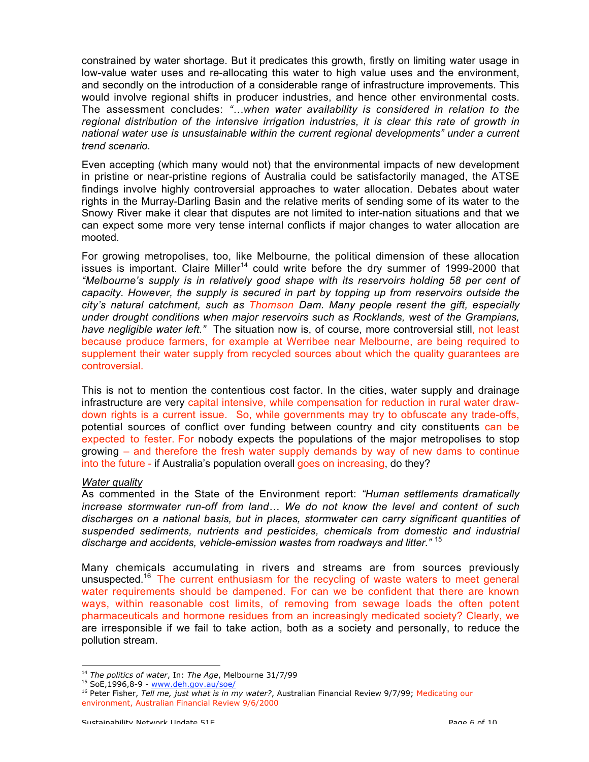constrained by water shortage. But it predicates this growth, firstly on limiting water usage in low-value water uses and re-allocating this water to high value uses and the environment, and secondly on the introduction of a considerable range of infrastructure improvements. This would involve regional shifts in producer industries, and hence other environmental costs. The assessment concludes: *"…when water availability is considered in relation to the regional distribution of the intensive irrigation industries, it is clear this rate of growth in national water use is unsustainable within the current regional developments" under a current trend scenario.*

Even accepting (which many would not) that the environmental impacts of new development in pristine or near-pristine regions of Australia could be satisfactorily managed, the ATSE findings involve highly controversial approaches to water allocation. Debates about water rights in the Murray-Darling Basin and the relative merits of sending some of its water to the Snowy River make it clear that disputes are not limited to inter-nation situations and that we can expect some more very tense internal conflicts if major changes to water allocation are mooted.

For growing metropolises, too, like Melbourne, the political dimension of these allocation issues is important. Claire Miller<sup>14</sup> could write before the dry summer of 1999-2000 that *"Melbourne's supply is in relatively good shape with its reservoirs holding 58 per cent of capacity. However, the supply is secured in part by topping up from reservoirs outside the city's natural catchment, such as Thomson Dam. Many people resent the gift, especially under drought conditions when major reservoirs such as Rocklands, west of the Grampians, have negligible water left."* The situation now is, of course, more controversial still, not least because produce farmers, for example at Werribee near Melbourne, are being required to supplement their water supply from recycled sources about which the quality guarantees are controversial.

This is not to mention the contentious cost factor. In the cities, water supply and drainage infrastructure are very capital intensive, while compensation for reduction in rural water drawdown rights is a current issue. So, while governments may try to obfuscate any trade-offs, potential sources of conflict over funding between country and city constituents can be expected to fester. For nobody expects the populations of the major metropolises to stop growing – and therefore the fresh water supply demands by way of new dams to continue into the future - if Australia's population overall goes on increasing, do they?

#### *Water quality*

As commented in the State of the Environment report: *"Human settlements dramatically increase stormwater run-off from land… We do not know the level and content of such discharges on a national basis, but in places, stormwater can carry significant quantities of suspended sediments, nutrients and pesticides, chemicals from domestic and industrial discharge and accidents, vehicle-emission wastes from roadways and litter."* <sup>15</sup>

Many chemicals accumulating in rivers and streams are from sources previously unsuspected.<sup>16</sup> The current enthusiasm for the recycling of waste waters to meet general water requirements should be dampened. For can we be confident that there are known ways, within reasonable cost limits, of removing from sewage loads the often potent pharmaceuticals and hormone residues from an increasingly medicated society? Clearly, we are irresponsible if we fail to take action, both as a society and personally, to reduce the pollution stream.

<sup>1</sup> <sup>14</sup> *The politics of water*, In: *The Age*, Melbourne 31/7/99

<sup>&</sup>lt;sup>15</sup> SoE,1996,8-9 - www.deh.gov.au/soe/

<sup>16</sup> Peter Fisher, *Tell me, just what is in my water?*, Australian Financial Review 9/7/99; Medicating our environment, Australian Financial Review 9/6/2000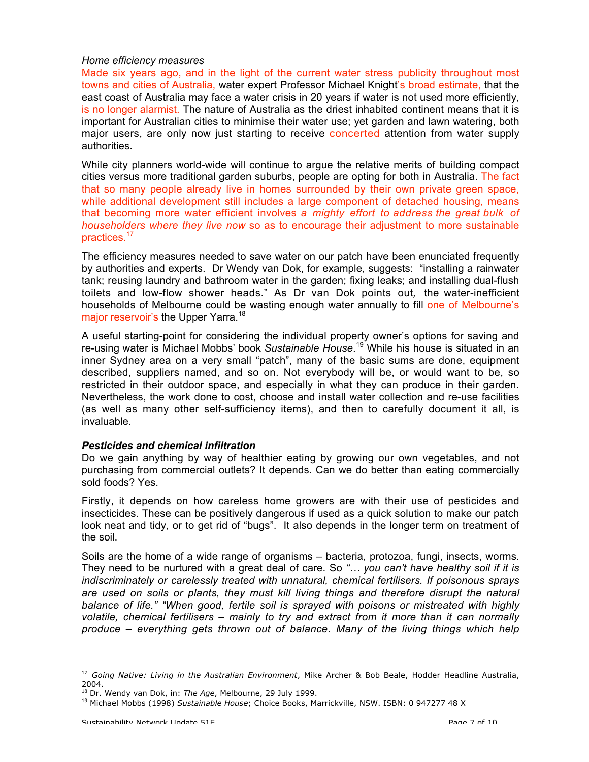#### *Home efficiency measures*

Made six years ago, and in the light of the current water stress publicity throughout most towns and cities of Australia, water expert Professor Michael Knight's broad estimate, that the east coast of Australia may face a water crisis in 20 years if water is not used more efficiently, is no longer alarmist. The nature of Australia as the driest inhabited continent means that it is important for Australian cities to minimise their water use; yet garden and lawn watering, both major users, are only now just starting to receive concerted attention from water supply authorities.

While city planners world-wide will continue to argue the relative merits of building compact cities versus more traditional garden suburbs, people are opting for both in Australia. The fact that so many people already live in homes surrounded by their own private green space, while additional development still includes a large component of detached housing, means that becoming more water efficient involves *a mighty effort to address the great bulk of householders where they live now* so as to encourage their adjustment to more sustainable practices.<sup>17</sup>

The efficiency measures needed to save water on our patch have been enunciated frequently by authorities and experts. Dr Wendy van Dok, for example, suggests: "installing a rainwater tank; reusing laundry and bathroom water in the garden; fixing leaks; and installing dual-flush toilets and low-flow shower heads." As Dr van Dok points out*,* the water-inefficient households of Melbourne could be wasting enough water annually to fill one of Melbourne's major reservoir's the Upper Yarra.<sup>18</sup>

A useful starting-point for considering the individual property owner's options for saving and re-using water is Michael Mobbs' book *Sustainable House*. <sup>19</sup> While his house is situated in an inner Sydney area on a very small "patch", many of the basic sums are done, equipment described, suppliers named, and so on. Not everybody will be, or would want to be, so restricted in their outdoor space, and especially in what they can produce in their garden. Nevertheless, the work done to cost, choose and install water collection and re-use facilities (as well as many other self-sufficiency items), and then to carefully document it all, is invaluable.

#### *Pesticides and chemical infiltration*

Do we gain anything by way of healthier eating by growing our own vegetables, and not purchasing from commercial outlets? It depends. Can we do better than eating commercially sold foods? Yes.

Firstly, it depends on how careless home growers are with their use of pesticides and insecticides. These can be positively dangerous if used as a quick solution to make our patch look neat and tidy, or to get rid of "bugs". It also depends in the longer term on treatment of the soil.

Soils are the home of a wide range of organisms – bacteria, protozoa, fungi, insects, worms. They need to be nurtured with a great deal of care. So *"… you can't have healthy soil if it is indiscriminately or carelessly treated with unnatural, chemical fertilisers. If poisonous sprays are used on soils or plants, they must kill living things and therefore disrupt the natural balance of life." "When good, fertile soil is sprayed with poisons or mistreated with highly volatile, chemical fertilisers – mainly to try and extract from it more than it can normally produce – everything gets thrown out of balance. Many of the living things which help*

<sup>17</sup> *Going Native: Living in the Australian Environment*, Mike Archer & Bob Beale, Hodder Headline Australia, 2004.

<sup>18</sup> Dr. Wendy van Dok, in: *The Age*, Melbourne, 29 July 1999.

<sup>19</sup> Michael Mobbs (1998) *Sustainable House*; Choice Books, Marrickville, NSW. ISBN: 0 947277 48 X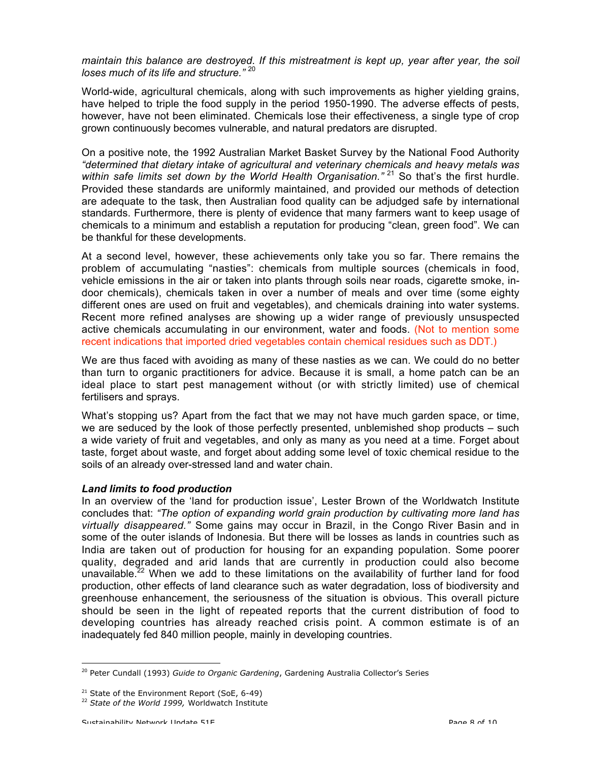*maintain this balance are destroyed. If this mistreatment is kept up, year after year, the soil loses much of its life and structure."* <sup>20</sup>

World-wide, agricultural chemicals, along with such improvements as higher yielding grains, have helped to triple the food supply in the period 1950-1990. The adverse effects of pests, however, have not been eliminated. Chemicals lose their effectiveness, a single type of crop grown continuously becomes vulnerable, and natural predators are disrupted.

On a positive note, the 1992 Australian Market Basket Survey by the National Food Authority *"determined that dietary intake of agricultural and veterinary chemicals and heavy metals was* within safe limits set down by the World Health Organisation.<sup>" 21</sup> So that's the first hurdle. Provided these standards are uniformly maintained, and provided our methods of detection are adequate to the task, then Australian food quality can be adjudged safe by international standards. Furthermore, there is plenty of evidence that many farmers want to keep usage of chemicals to a minimum and establish a reputation for producing "clean, green food". We can be thankful for these developments.

At a second level, however, these achievements only take you so far. There remains the problem of accumulating "nasties": chemicals from multiple sources (chemicals in food, vehicle emissions in the air or taken into plants through soils near roads, cigarette smoke, indoor chemicals), chemicals taken in over a number of meals and over time (some eighty different ones are used on fruit and vegetables), and chemicals draining into water systems. Recent more refined analyses are showing up a wider range of previously unsuspected active chemicals accumulating in our environment, water and foods. (Not to mention some recent indications that imported dried vegetables contain chemical residues such as DDT.)

We are thus faced with avoiding as many of these nasties as we can. We could do no better than turn to organic practitioners for advice. Because it is small, a home patch can be an ideal place to start pest management without (or with strictly limited) use of chemical fertilisers and sprays.

What's stopping us? Apart from the fact that we may not have much garden space, or time, we are seduced by the look of those perfectly presented, unblemished shop products – such a wide variety of fruit and vegetables, and only as many as you need at a time. Forget about taste, forget about waste, and forget about adding some level of toxic chemical residue to the soils of an already over-stressed land and water chain.

#### *Land limits to food production*

In an overview of the 'land for production issue', Lester Brown of the Worldwatch Institute concludes that: *"The option of expanding world grain production by cultivating more land has virtually disappeared."* Some gains may occur in Brazil, in the Congo River Basin and in some of the outer islands of Indonesia. But there will be losses as lands in countries such as India are taken out of production for housing for an expanding population. Some poorer quality, degraded and arid lands that are currently in production could also become unavailable.<sup>22</sup> When we add to these limitations on the availability of further land for food production, other effects of land clearance such as water degradation, loss of biodiversity and greenhouse enhancement, the seriousness of the situation is obvious. This overall picture should be seen in the light of repeated reports that the current distribution of food to developing countries has already reached crisis point. A common estimate is of an inadequately fed 840 million people, mainly in developing countries.

<sup>&</sup>lt;sup>20</sup> Peter Cundall (1993) *Guide to Organic Gardening*, Gardening Australia Collector's Series

 $21$  State of the Environment Report (SoE, 6-49)

<sup>22</sup> *State of the World 1999,* Worldwatch Institute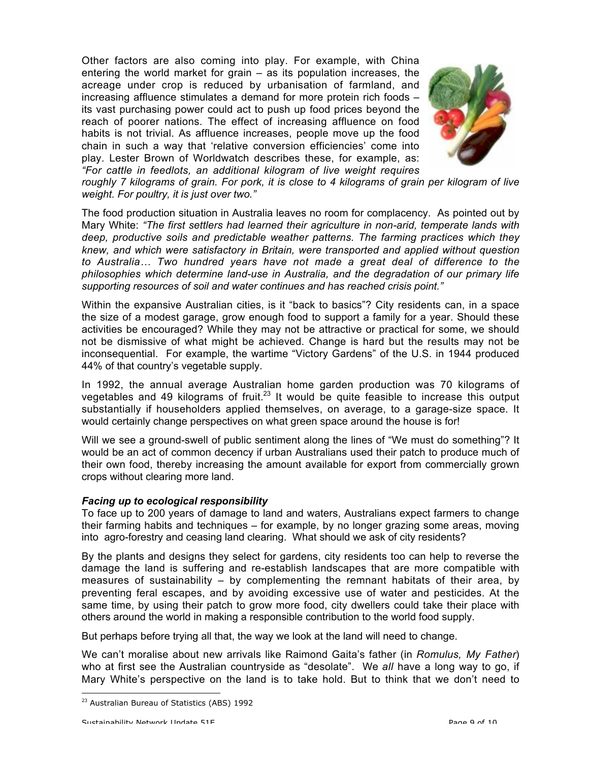Other factors are also coming into play. For example, with China entering the world market for grain – as its population increases, the acreage under crop is reduced by urbanisation of farmland, and increasing affluence stimulates a demand for more protein rich foods – its vast purchasing power could act to push up food prices beyond the reach of poorer nations. The effect of increasing affluence on food habits is not trivial. As affluence increases, people move up the food chain in such a way that 'relative conversion efficiencies' come into play. Lester Brown of Worldwatch describes these, for example, as: *"For cattle in feedlots, an additional kilogram of live weight requires*



*roughly 7 kilograms of grain. For pork, it is close to 4 kilograms of grain per kilogram of live weight. For poultry, it is just over two."*

The food production situation in Australia leaves no room for complacency. As pointed out by Mary White: *"The first settlers had learned their agriculture in non-arid, temperate lands with deep, productive soils and predictable weather patterns. The farming practices which they knew, and which were satisfactory in Britain, were transported and applied without question to Australia… Two hundred years have not made a great deal of difference to the philosophies which determine land-use in Australia, and the degradation of our primary life supporting resources of soil and water continues and has reached crisis point."*

Within the expansive Australian cities, is it "back to basics"? City residents can, in a space the size of a modest garage, grow enough food to support a family for a year. Should these activities be encouraged? While they may not be attractive or practical for some, we should not be dismissive of what might be achieved. Change is hard but the results may not be inconsequential. For example, the wartime "Victory Gardens" of the U.S. in 1944 produced 44% of that country's vegetable supply.

In 1992, the annual average Australian home garden production was 70 kilograms of vegetables and 49 kilograms of fruit.<sup>23</sup> It would be quite feasible to increase this output substantially if householders applied themselves, on average, to a garage-size space. It would certainly change perspectives on what green space around the house is for!

Will we see a ground-swell of public sentiment along the lines of "We must do something"? It would be an act of common decency if urban Australians used their patch to produce much of their own food, thereby increasing the amount available for export from commercially grown crops without clearing more land.

#### *Facing up to ecological responsibility*

To face up to 200 years of damage to land and waters, Australians expect farmers to change their farming habits and techniques – for example, by no longer grazing some areas, moving into agro-forestry and ceasing land clearing. What should we ask of city residents?

By the plants and designs they select for gardens, city residents too can help to reverse the damage the land is suffering and re-establish landscapes that are more compatible with measures of sustainability – by complementing the remnant habitats of their area, by preventing feral escapes, and by avoiding excessive use of water and pesticides. At the same time, by using their patch to grow more food, city dwellers could take their place with others around the world in making a responsible contribution to the world food supply.

But perhaps before trying all that, the way we look at the land will need to change.

We can't moralise about new arrivals like Raimond Gaita's father (in *Romulus, My Father*) who at first see the Australian countryside as "desolate". We *all* have a long way to go, if Mary White's perspective on the land is to take hold. But to think that we don't need to

<sup>&</sup>lt;sup>23</sup> Australian Bureau of Statistics (ABS) 1992